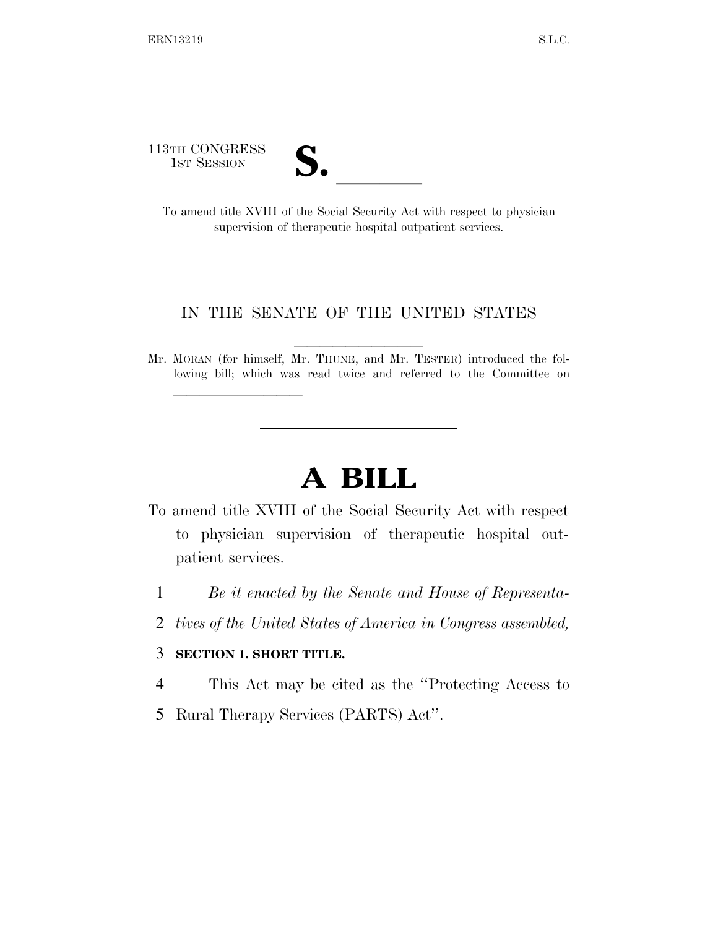113TH CONGRESS

| V<br>V. |  |
|---------|--|
|         |  |

1ST SESSION **S. S. A. ISBN S. S. S. S. A. A. S. S. S. A. S. A. S. To amend title XVIII of the Social Security Act with respect to physician** supervision of therapeutic hospital outpatient services.

## IN THE SENATE OF THE UNITED STATES

Mr. MORAN (for himself, Mr. THUNE, and Mr. TESTER) introduced the following bill; which was read twice and referred to the Committee on

## **A BILL**

To amend title XVIII of the Social Security Act with respect to physician supervision of therapeutic hospital outpatient services.

- 1 *Be it enacted by the Senate and House of Representa-*
- 2 *tives of the United States of America in Congress assembled,*

## 3 **SECTION 1. SHORT TITLE.**

lle and a second control of the second control of the second control of the second control of the second control of the second control of the second control of the second control of the second control of the second control

- 4 This Act may be cited as the ''Protecting Access to
- 5 Rural Therapy Services (PARTS) Act''.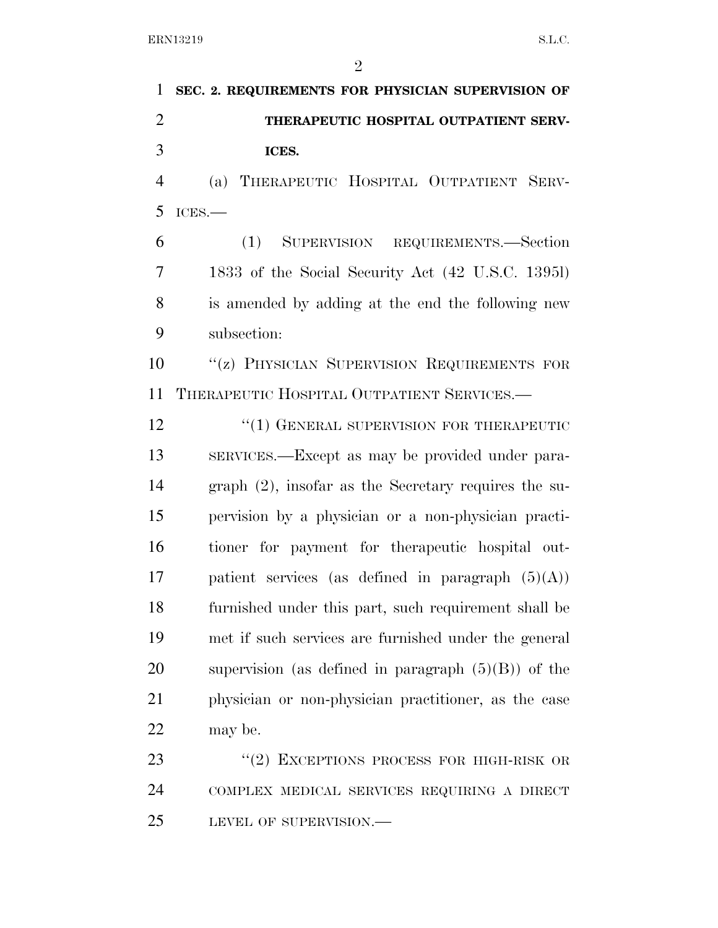$\Delta$ 

|                | $\mathcal{L}$                                     |
|----------------|---------------------------------------------------|
| 1              | SEC. 2. REQUIREMENTS FOR PHYSICIAN SUPERVISION OF |
| $\overline{2}$ | THERAPEUTIC HOSPITAL OUTPATIENT SERV-             |
| 3              | ICES.                                             |
| $\overline{4}$ | (a) THERAPEUTIC HOSPITAL OUTPATIENT SERV-         |
| 5              | ICES.                                             |
| 6              | SUPERVISION REQUIREMENTS.—Section<br>(1)          |
| $\overline{7}$ | 1833 of the Social Security Act (42 U.S.C. 13951) |
| 8              | is amended by adding at the end the following new |
| 9              | subsection:                                       |
| 10             | "(z) PHYSICIAN SUPERVISION REQUIREMENTS FOR       |
| 11             | THERAPEUTIC HOSPITAL OUTPATIENT SERVICES.-        |
| 12             | "(1) GENERAL SUPERVISION FOR THERAPEUTIC          |
| $1^{\prime}$   |                                                   |

 SERVICES.—Except as may be provided under para- graph (2), insofar as the Secretary requires the su- pervision by a physician or a non-physician practi- tioner for payment for therapeutic hospital out-17 patient services (as defined in paragraph  $(5)(A)$ ) furnished under this part, such requirement shall be met if such services are furnished under the general supervision (as defined in paragraph (5)(B)) of the physician or non-physician practitioner, as the case may be.

23 "(2) EXCEPTIONS PROCESS FOR HIGH-RISK OR COMPLEX MEDICAL SERVICES REQUIRING A DIRECT LEVEL OF SUPERVISION.—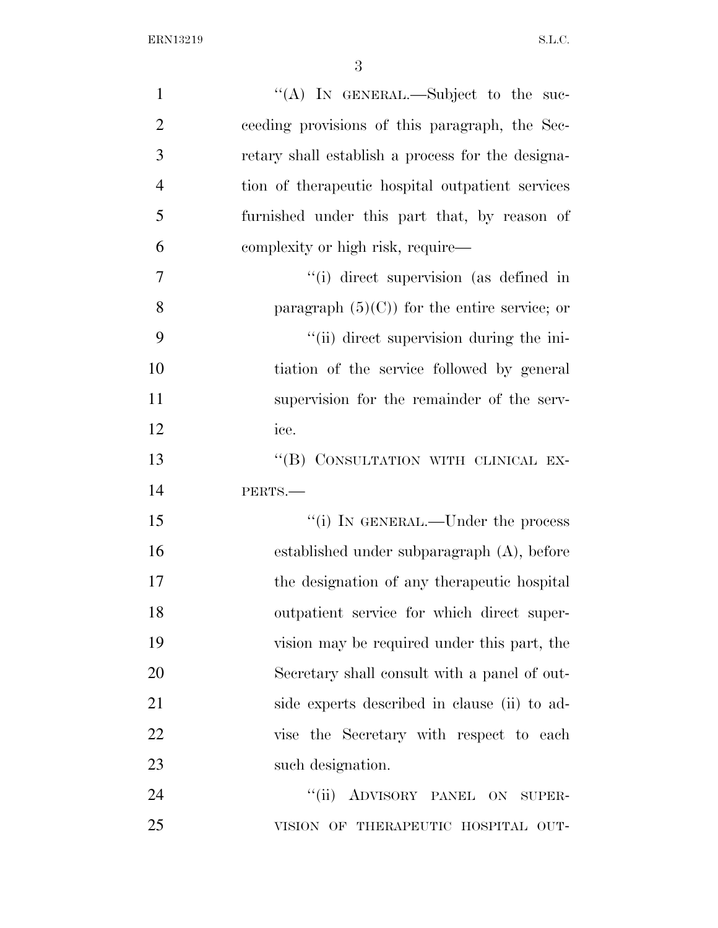| $\mathbf{1}$   | "(A) IN GENERAL.—Subject to the suc-              |
|----------------|---------------------------------------------------|
| $\overline{2}$ | ceeding provisions of this paragraph, the Sec-    |
| 3              | retary shall establish a process for the designa- |
| $\overline{4}$ | tion of the rapeutic hospital outpatient services |
| 5              | furnished under this part that, by reason of      |
| 6              | complexity or high risk, require—                 |
| $\overline{7}$ | "(i) direct supervision (as defined in            |
| 8              | paragraph $(5)(C)$ for the entire service; or     |
| 9              | "(ii) direct supervision during the ini-          |
| 10             | tiation of the service followed by general        |
| 11             | supervision for the remainder of the serv-        |
| 12             | ice.                                              |
| 13             | "(B) CONSULTATION WITH CLINICAL EX-               |
| 14             | PERTS.-                                           |
| 15             | "(i) IN GENERAL.—Under the process                |
| 16             | established under subparagraph $(A)$ , before     |
| 17             | the designation of any therapeutic hospital       |
| 18             | outpatient service for which direct super-        |
| 19             | vision may be required under this part, the       |
| 20             | Secretary shall consult with a panel of out-      |
| 21             | side experts described in clause (ii) to ad-      |
| 22             | vise the Secretary with respect to each           |
| 23             | such designation.                                 |
| 24             | "(ii) ADVISORY PANEL ON SUPER-                    |
| 25             | VISION OF THERAPEUTIC HOSPITAL OUT-               |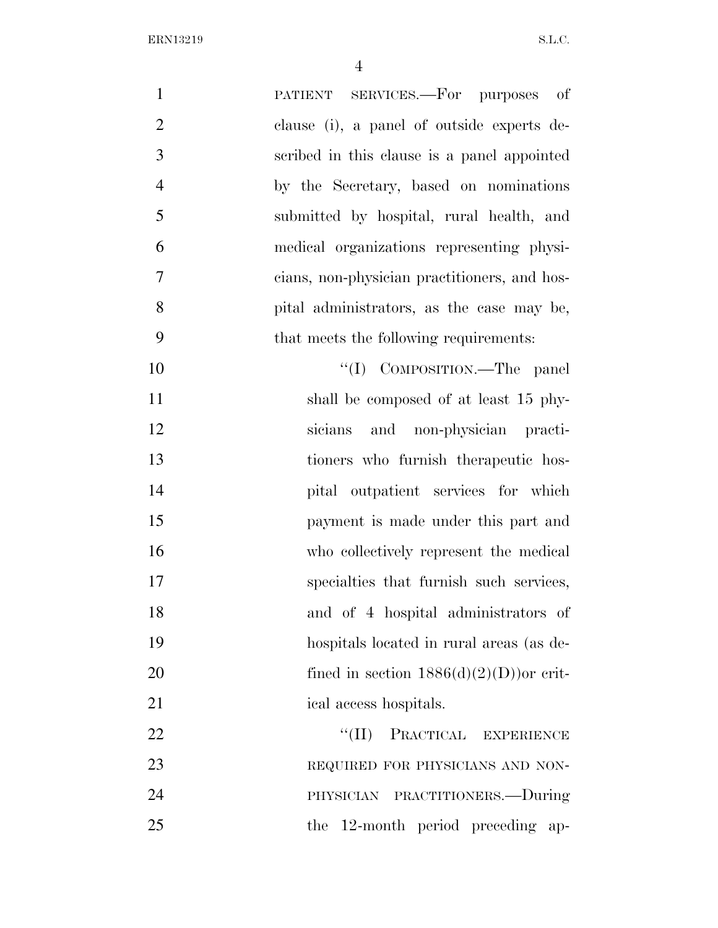| $\mathbf{1}$<br>PATIENT SERVICES.—For purposes of              |
|----------------------------------------------------------------|
| $\overline{2}$<br>clause (i), a panel of outside experts de-   |
| 3<br>scribed in this clause is a panel appointed               |
| $\overline{4}$<br>by the Secretary, based on nominations       |
| 5<br>submitted by hospital, rural health, and                  |
| 6<br>medical organizations representing physi-                 |
| $\overline{7}$<br>cians, non-physician practitioners, and hos- |
| 8<br>pital administrators, as the case may be,                 |
| 9<br>that meets the following requirements:                    |
| "(I) COMPOSITION.—The panel<br>10                              |
| 11<br>shall be composed of at least 15 phy-                    |
| 12<br>sicians and non-physician practi-                        |
| 13<br>tioners who furnish therapeutic hos-                     |
| 14<br>pital outpatient services for which                      |
| 15<br>payment is made under this part and                      |
| 16<br>who collectively represent the medical                   |
| 17<br>specialties that furnish such services,                  |
| 18<br>and of 4 hospital administrators of                      |
| 19<br>hospitals located in rural areas (as de-                 |
| 20<br>fined in section $1886(d)(2)(D)$ or crit-                |
| 21<br>ical access hospitals.                                   |
| 22<br>PRACTICAL EXPERIENCE<br>``(II)                           |
| 23<br>REQUIRED FOR PHYSICIANS AND NON-                         |
| 24<br>PHYSICIAN PRACTITIONERS.-During                          |
| 25<br>12-month period preceding ap-<br>the                     |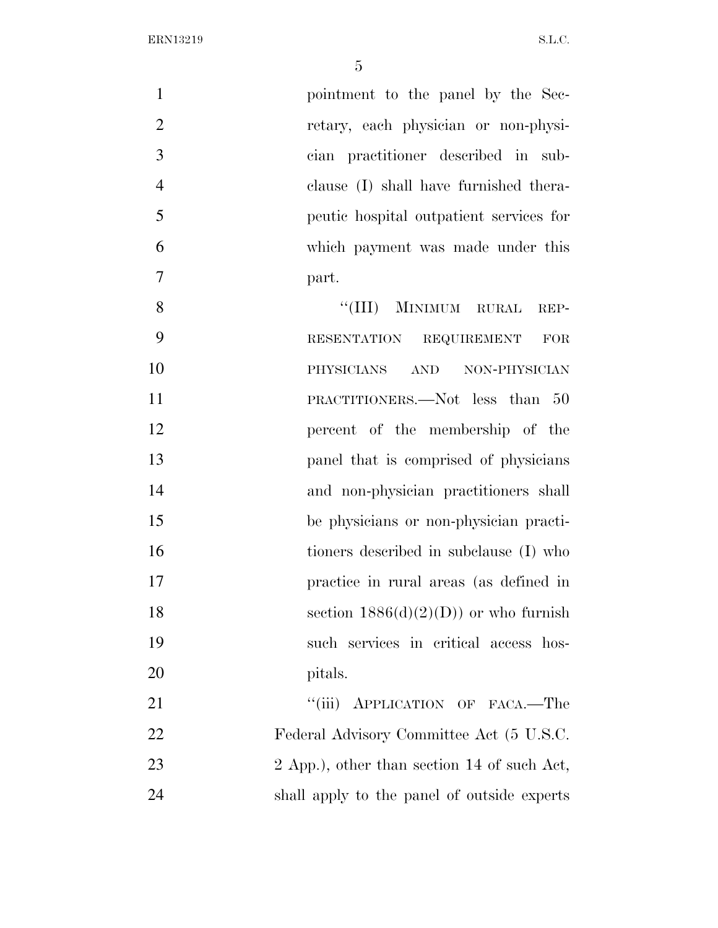| $\mathbf{1}$   | pointment to the panel by the Sec-          |
|----------------|---------------------------------------------|
| $\overline{2}$ | retary, each physician or non-physi-        |
| 3              | cian practitioner described in sub-         |
| $\overline{4}$ | clause (I) shall have furnished thera-      |
| 5              | peutic hospital outpatient services for     |
| 6              | which payment was made under this           |
| 7              | part.                                       |
| 8              | MINIMUM RURAL<br>``(III)<br>REP-            |
| 9              | RESENTATION REQUIREMENT<br>$\rm FOR$        |
| 10             | PHYSICIANS<br>AND NON-PHYSICIAN             |
| 11             | PRACTITIONERS.—Not less than 50             |
| 12             | percent of the membership of the            |
| 13             | panel that is comprised of physicians       |
| 14             | and non-physician practitioners shall       |
| 15             | be physicians or non-physician practi-      |
| 16             | tioners described in subclause (I) who      |
| 17             | practice in rural areas (as defined in      |
| 18             | section $1886(d)(2)(D)$ or who furnish      |
| 19             | such services in critical access hos-       |
| 20             | pitals.                                     |
| 21             | "(iii) APPLICATION OF FACA.—The             |
| 22             | Federal Advisory Committee Act (5 U.S.C.    |
| 23             | 2 App.), other than section 14 of such Act, |
| 24             | shall apply to the panel of outside experts |
|                |                                             |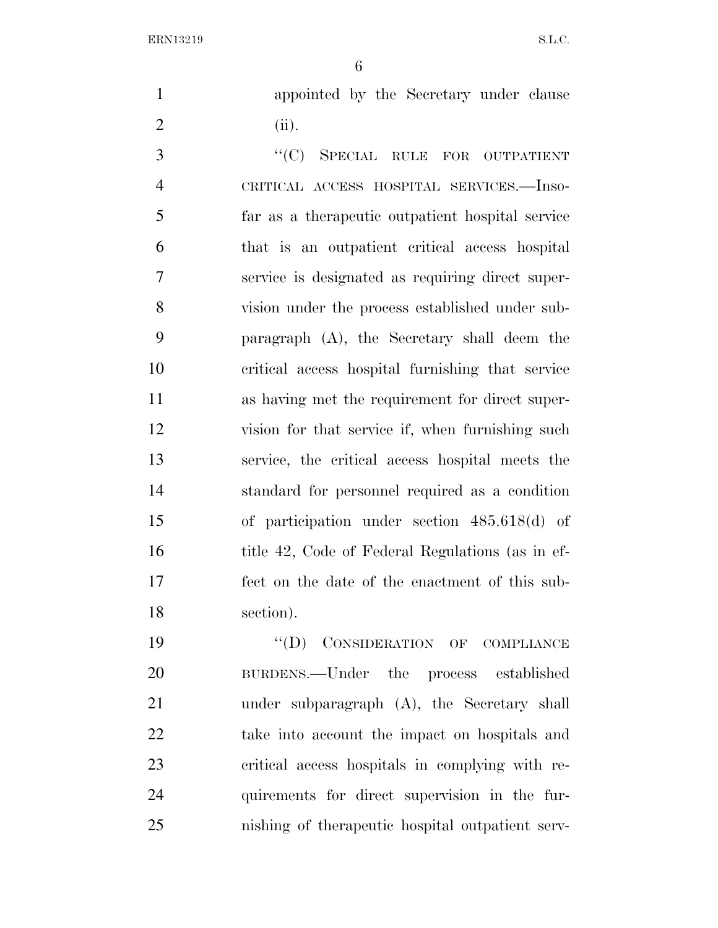appointed by the Secretary under clause (ii).

3 "(C) SPECIAL RULE FOR OUTPATIENT CRITICAL ACCESS HOSPITAL SERVICES.—Inso- far as a therapeutic outpatient hospital service that is an outpatient critical access hospital service is designated as requiring direct super- vision under the process established under sub- paragraph (A), the Secretary shall deem the critical access hospital furnishing that service as having met the requirement for direct super- vision for that service if, when furnishing such service, the critical access hospital meets the standard for personnel required as a condition of participation under section 485.618(d) of 16 title 42, Code of Federal Regulations (as in ef- fect on the date of the enactment of this sub-section).

19 "(D) CONSIDERATION OF COMPLIANCE BURDENS.—Under the process established under subparagraph (A), the Secretary shall take into account the impact on hospitals and critical access hospitals in complying with re- quirements for direct supervision in the fur-nishing of therapeutic hospital outpatient serv-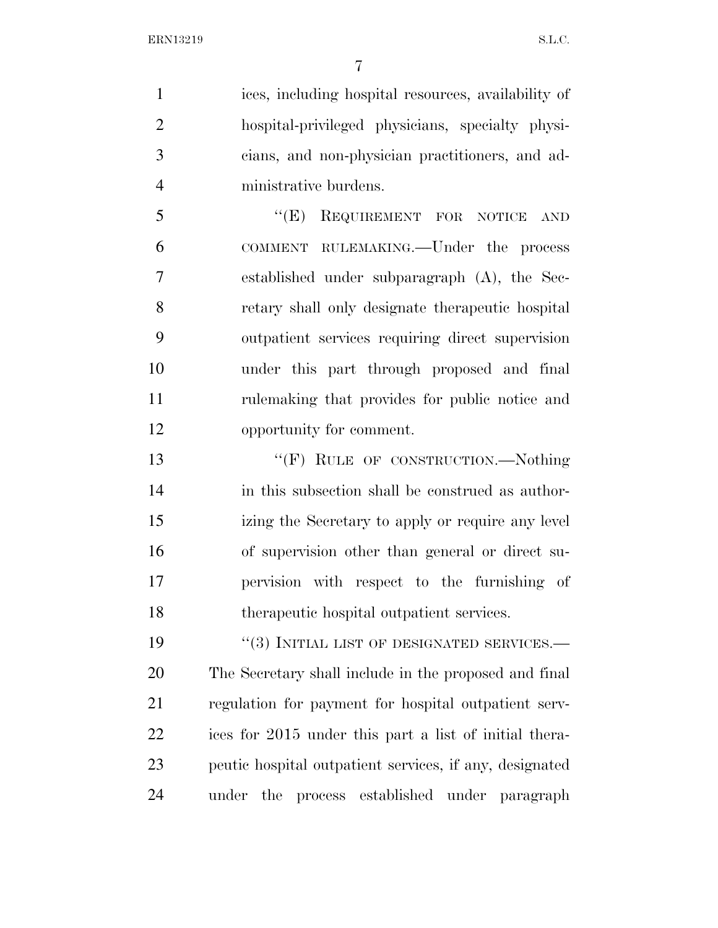ices, including hospital resources, availability of hospital-privileged physicians, specialty physi- cians, and non-physician practitioners, and ad-ministrative burdens.

5 "(E) REQUIREMENT FOR NOTICE AND COMMENT RULEMAKING.—Under the process established under subparagraph (A), the Sec- retary shall only designate therapeutic hospital outpatient services requiring direct supervision under this part through proposed and final rulemaking that provides for public notice and opportunity for comment.

13 "'(F) RULE OF CONSTRUCTION.—Nothing in this subsection shall be construed as author- izing the Secretary to apply or require any level of supervision other than general or direct su- pervision with respect to the furnishing of therapeutic hospital outpatient services.

 $(3)$  INITIAL LIST OF DESIGNATED SERVICES.— The Secretary shall include in the proposed and final regulation for payment for hospital outpatient serv- ices for 2015 under this part a list of initial thera- peutic hospital outpatient services, if any, designated under the process established under paragraph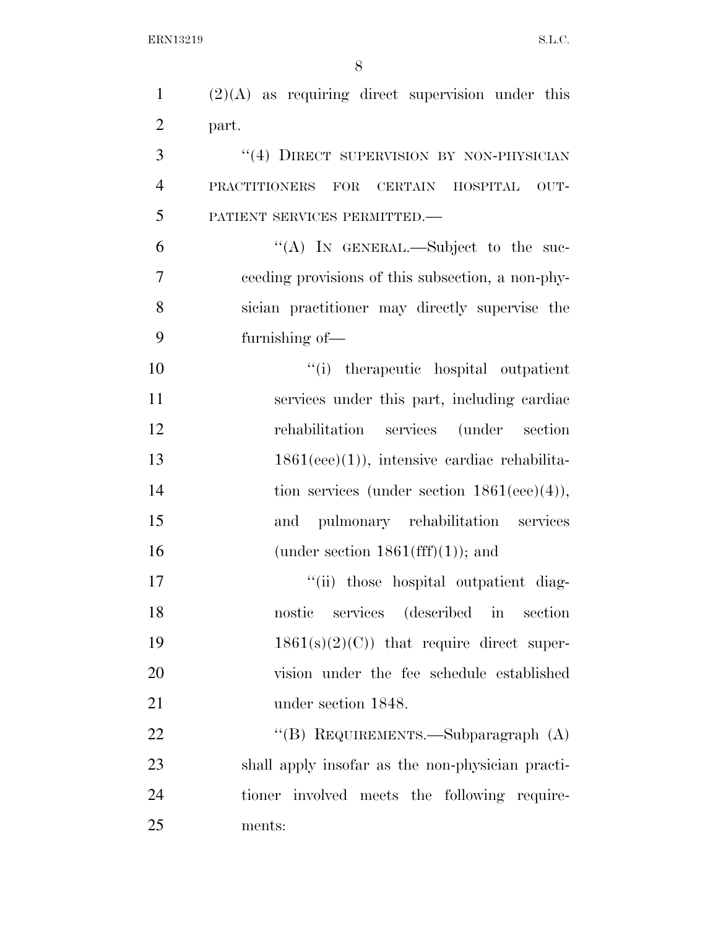| $\mathbf{1}$   | $(2)(A)$ as requiring direct supervision under this  |
|----------------|------------------------------------------------------|
| $\overline{2}$ | part.                                                |
| 3              | "(4) DIRECT SUPERVISION BY NON-PHYSICIAN             |
| $\overline{4}$ | <b>PRACTITIONERS</b><br>FOR CERTAIN HOSPITAL<br>OUT- |
| 5              | PATIENT SERVICES PERMITTED.                          |
| 6              | "(A) IN GENERAL.—Subject to the suc-                 |
| 7              | ceeding provisions of this subsection, a non-phy-    |
| 8              | sician practitioner may directly supervise the       |
| 9              | furnishing of-                                       |
| 10             | "(i) therapeutic hospital outpatient                 |
| 11             | services under this part, including cardiac          |
| 12             | rehabilitation services (under section               |
| 13             | $1861(eee)(1)$ , intensive cardiac rehabilita-       |
| 14             | tion services (under section $1861(eee)(4)$ ),       |
| 15             | pulmonary rehabilitation services<br>and             |
| 16             | (under section $1861(fff)(1)$ ); and                 |
| 17             | "(ii) those hospital outpatient diag-                |
| 18             | services (described in<br>nostic<br>section          |
| 19             | $1861(s)(2)(C)$ that require direct super-           |
| 20             | vision under the fee schedule established            |
| 21             | under section 1848.                                  |
| 22             | "(B) REQUIREMENTS.—Subparagraph (A)                  |
| 23             | shall apply insofar as the non-physician practi-     |
| 24             | tioner involved meets the following require-         |
| 25             | ments:                                               |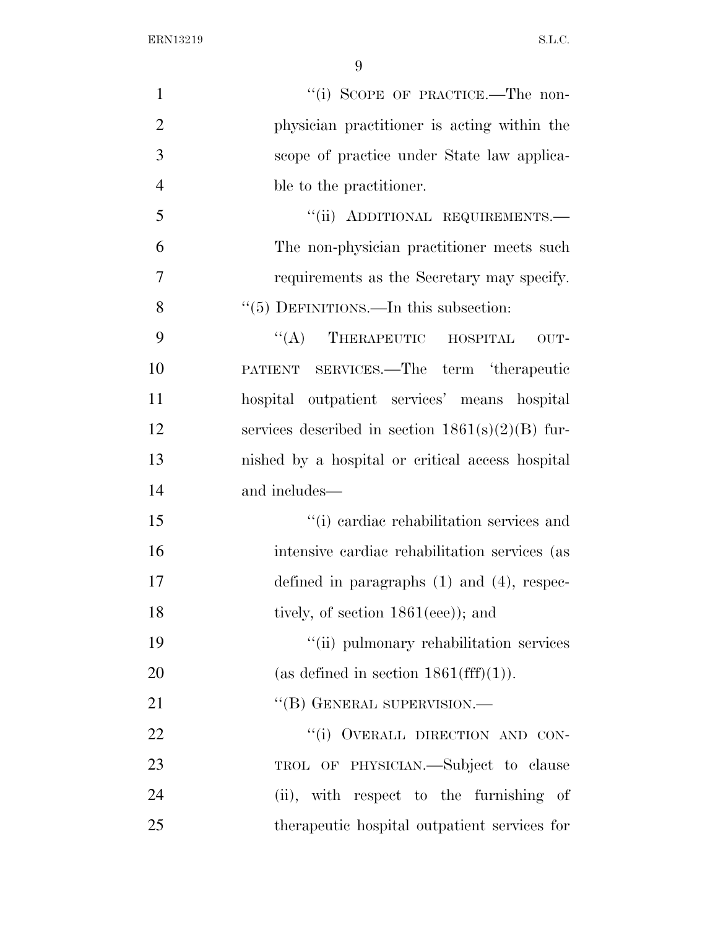| $\mathbf{1}$   | "(i) SCOPE OF PRACTICE.—The non-                   |
|----------------|----------------------------------------------------|
| $\overline{2}$ | physician practitioner is acting within the        |
| 3              | scope of practice under State law applica-         |
| $\overline{4}$ | ble to the practitioner.                           |
| 5              | "(ii) ADDITIONAL REQUIREMENTS.-                    |
| 6              | The non-physician practitioner meets such          |
| $\overline{7}$ | requirements as the Secretary may specify.         |
| 8              | "(5) DEFINITIONS.—In this subsection:              |
| 9              | $\lq\lq$ THERAPEUTIC HOSPITAL<br>OUT-              |
| 10             | PATIENT SERVICES.—The term 'therapeutic            |
| 11             | hospital outpatient services' means hospital       |
| 12             | services described in section $1861(s)(2)(B)$ fur- |
| 13             | nished by a hospital or critical access hospital   |
| 14             | and includes—                                      |
| 15             | "(i) cardiac rehabilitation services and           |
| 16             | intensive cardiac rehabilitation services (as      |
| 17             | defined in paragraphs $(1)$ and $(4)$ , respec-    |
| 18             | tively, of section $1861(eee)$ ; and               |
| 19             | "(ii) pulmonary rehabilitation services            |
| 20             | (as defined in section $1861(fff)(1)$ ).           |
| 21             | "(B) GENERAL SUPERVISION.—                         |
| 22             | "(i) OVERALL DIRECTION AND CON-                    |
| 23             | TROL OF PHYSICIAN.—Subject to clause               |
| 24             | (ii), with respect to the furnishing of            |
| 25             | therapeutic hospital outpatient services for       |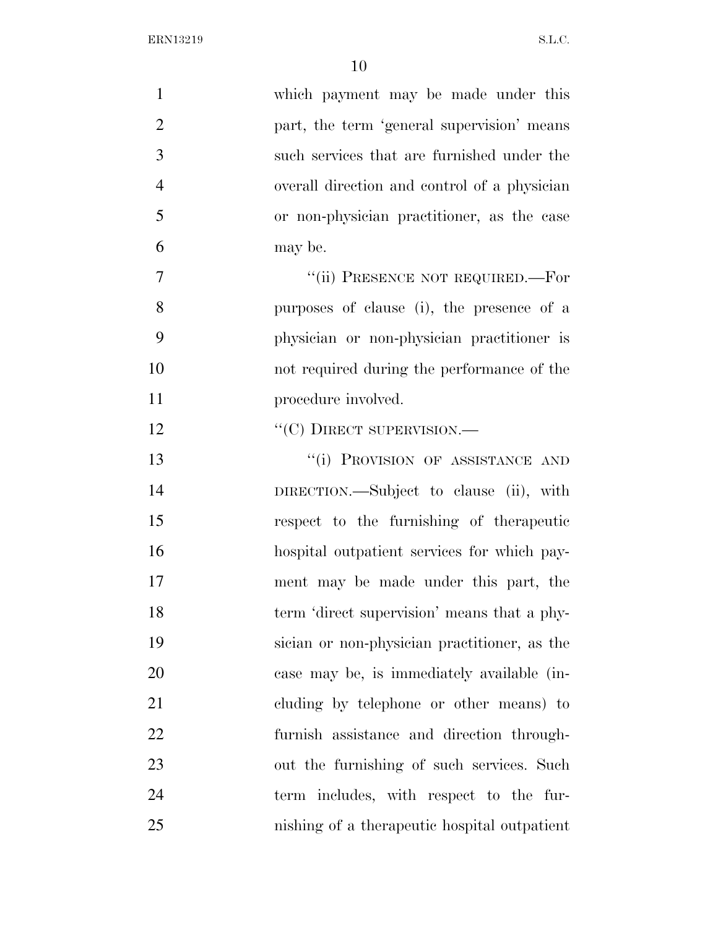| $\mathbf{1}$   | which payment may be made under this         |
|----------------|----------------------------------------------|
| $\overline{2}$ | part, the term 'general supervision' means   |
| 3              | such services that are furnished under the   |
| $\overline{4}$ | overall direction and control of a physician |
| 5              | or non-physician practitioner, as the case   |
| 6              | may be.                                      |
| $\tau$         | "(ii) PRESENCE NOT REQUIRED.—For             |
| 8              | purposes of clause (i), the presence of a    |
| 9              | physician or non-physician practitioner is   |
| 10             | not required during the performance of the   |
| 11             | procedure involved.                          |
| 12             | $\lq\lq(C)$ DIRECT SUPERVISION.—             |
| 13             | "(i) PROVISION OF ASSISTANCE AND             |
| 14             | DIRECTION.—Subject to clause (ii), with      |
| 15             | respect to the furnishing of the rapeutic    |
| 16             | hospital outpatient services for which pay-  |
| 17             | ment may be made under this part, the        |
| 18             | term 'direct supervision' means that a phy-  |
| 19             | sician or non-physician practitioner, as the |
| 20             | case may be, is immediately available (in-   |
| 21             | cluding by telephone or other means) to      |
| 22             | furnish assistance and direction through-    |
| 23             | out the furnishing of such services. Such    |
| 24             | term includes, with respect to the fur-      |
| 25             | nishing of a therapeutic hospital outpatient |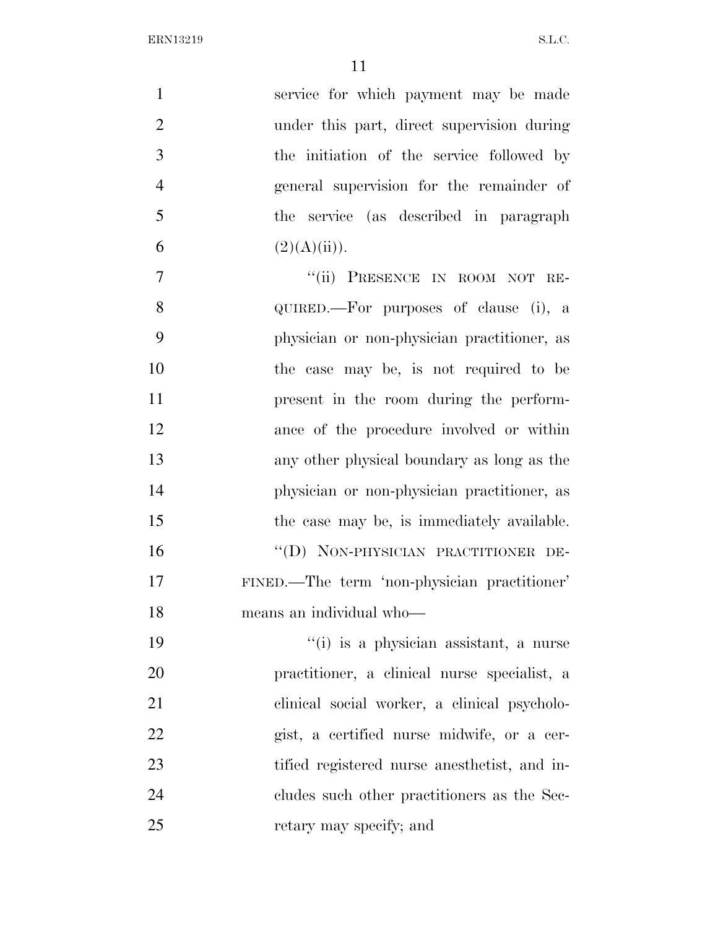| $\mathbf{1}$   | service for which payment may be made        |
|----------------|----------------------------------------------|
| $\overline{2}$ | under this part, direct supervision during   |
| 3              | the initiation of the service followed by    |
| $\overline{4}$ | general supervision for the remainder of     |
| 5              | the service (as described in paragraph       |
| 6              | (2)(A)(ii)).                                 |
| $\overline{7}$ | "(ii) PRESENCE IN ROOM NOT RE-               |
| 8              | QUIRED.—For purposes of clause (i), a        |
| 9              | physician or non-physician practitioner, as  |
| 10             | the case may be, is not required to be       |
| 11             | present in the room during the perform-      |
| 12             | ance of the procedure involved or within     |
| 13             | any other physical boundary as long as the   |
| 14             | physician or non-physician practitioner, as  |
| 15             | the case may be, is immediately available.   |
| 16             | "(D) NON-PHYSICIAN PRACTITIONER DE-          |
| 17             | FINED.—The term 'non-physician practitioner' |
| 18             | means an individual who-                     |
| 19             | "(i) is a physician assistant, a nurse       |
| 20             | practitioner, a clinical nurse specialist, a |
| 21             | clinical social worker, a clinical psycholo- |
| 22             | gist, a certified nurse midwife, or a cer-   |
| 23             | tified registered nurse anesthetist, and in- |
| 24             | cludes such other practitioners as the Sec-  |
| 25             | retary may specify; and                      |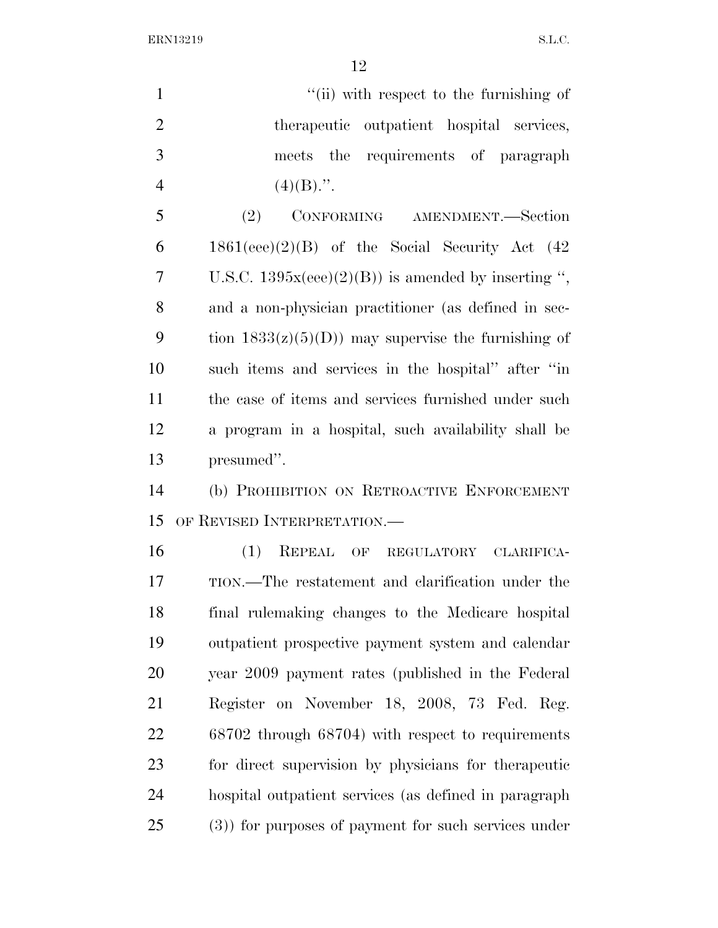| $\mathbf{1}$   | "(ii) with respect to the furnishing of               |
|----------------|-------------------------------------------------------|
| $\overline{2}$ | therapeutic outpatient hospital services,             |
| 3              | meets the requirements of paragraph                   |
| $\overline{4}$ | $(4)(B)$ .".                                          |
| 5              | (2)<br>CONFORMING AMENDMENT.-Section                  |
| 6              | $1861(eee)(2)(B)$ of the Social Security Act $(42)$   |
| $\overline{7}$ | U.S.C. $1395x(eee)(2)(B)$ is amended by inserting ",  |
| 8              | and a non-physician practitioner (as defined in sec-  |
| 9              | tion $1833(z)(5)(D)$ may supervise the furnishing of  |
| 10             | such items and services in the hospital" after "in    |
| 11             | the case of items and services furnished under such   |
| 12             | a program in a hospital, such availability shall be   |
| 13             | presumed".                                            |
| 14             | (b) PROHIBITION ON RETROACTIVE ENFORCEMENT            |
| 15             | OF REVISED INTERPRETATION.                            |
| 16             | (1)<br>REPEAL OF REGULATORY CLARIFICA-                |
| 17             | TION.—The restatement and clarification under the     |
| 18             | final rulemaking changes to the Medicare hospital     |
| 19             | outpatient prospective payment system and calendar    |
| 20             | year 2009 payment rates (published in the Federal     |
| 21             | Register on November 18, 2008, 73 Fed. Reg.           |
| 22             | 68702 through 68704) with respect to requirements     |
| 23             | for direct supervision by physicians for the rapeutic |
| 24             | hospital outpatient services (as defined in paragraph |

(3)) for purposes of payment for such services under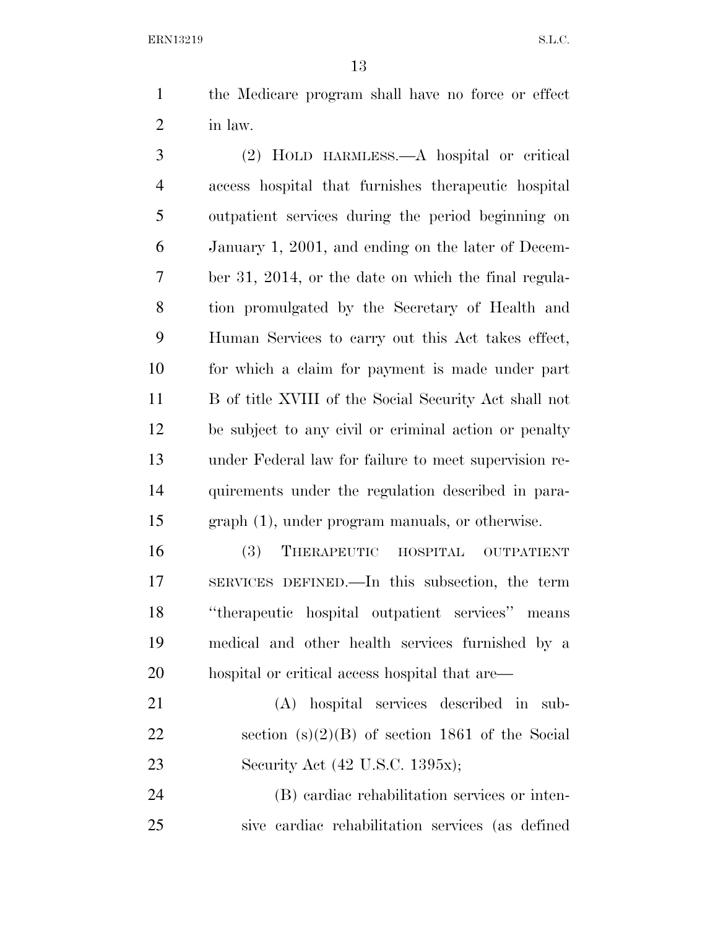the Medicare program shall have no force or effect in law.

 (2) HOLD HARMLESS.—A hospital or critical access hospital that furnishes therapeutic hospital outpatient services during the period beginning on January 1, 2001, and ending on the later of Decem- ber 31, 2014, or the date on which the final regula- tion promulgated by the Secretary of Health and Human Services to carry out this Act takes effect, for which a claim for payment is made under part B of title XVIII of the Social Security Act shall not be subject to any civil or criminal action or penalty under Federal law for failure to meet supervision re- quirements under the regulation described in para-graph (1), under program manuals, or otherwise.

 (3) THERAPEUTIC HOSPITAL OUTPATIENT SERVICES DEFINED.—In this subsection, the term ''therapeutic hospital outpatient services'' means medical and other health services furnished by a hospital or critical access hospital that are—

 (A) hospital services described in sub-22 section  $(s)(2)(B)$  of section 1861 of the Social Security Act (42 U.S.C. 1395x);

 (B) cardiac rehabilitation services or inten-sive cardiac rehabilitation services (as defined